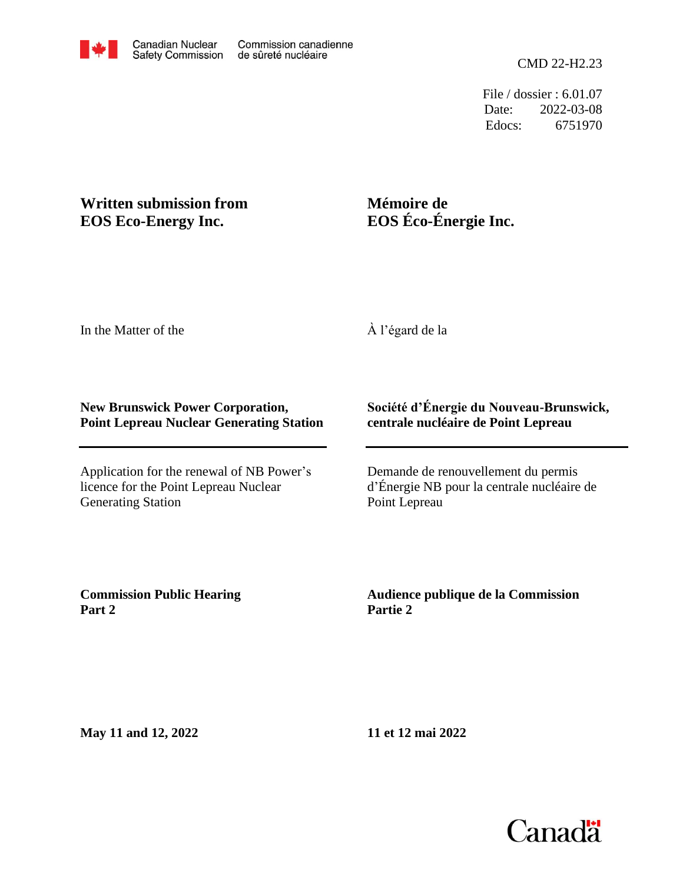Edocs: 6751970 Date: 2022-03-08 File / dossier : 6.01.07

## **Written submission from EOS Eco-Energy Inc.**

# **Mémoire de EOS Éco-Énergie Inc.**

In the Matter of the

À l'égard de la

## **New Brunswick Power Corporation, Point Lepreau Nuclear Generating Station**

Application for the renewal of NB Power's licence for the Point Lepreau Nuclear Generating Station

## **Société d'Énergie du Nouveau-Brunswick, centrale nucléaire de Point Lepreau**

Demande de renouvellement du permis d'Énergie NB pour la centrale nucléaire de Point Lepreau

**Commission Public Hearing Part 2**

**Audience publique de la Commission Partie 2**

**May 11 and 12, 2022**

**11 et 12 mai 2022**

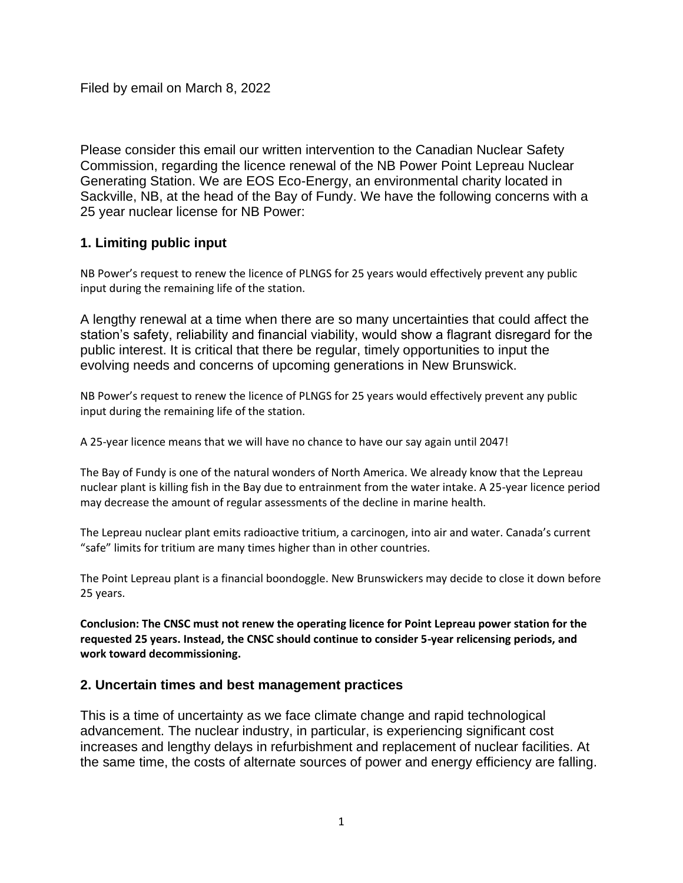Please consider this email our written intervention to the Canadian Nuclear Safety Commission, regarding the licence renewal of the NB Power Point Lepreau Nuclear Generating Station. We are EOS Eco-Energy, an environmental charity located in Sackville, NB, at the head of the Bay of Fundy. We have the following concerns with a 25 year nuclear license for NB Power:

## **1. Limiting public input**

NB Power's request to renew the licence of PLNGS for 25 years would effectively prevent any public input during the remaining life of the station.

A lengthy renewal at a time when there are so many uncertainties that could affect the station's safety, reliability and financial viability, would show a flagrant disregard for the public interest. It is critical that there be regular, timely opportunities to input the evolving needs and concerns of upcoming generations in New Brunswick.

NB Power's request to renew the licence of PLNGS for 25 years would effectively prevent any public input during the remaining life of the station.

A 25-year licence means that we will have no chance to have our say again until 2047!

The Bay of Fundy is one of the natural wonders of North America. We already know that the Lepreau nuclear plant is killing fish in the Bay due to entrainment from the water intake. A 25-year licence period may decrease the amount of regular assessments of the decline in marine health.

The Lepreau nuclear plant emits radioactive tritium, a carcinogen, into air and water. Canada's current "safe" limits for tritium are many times higher than in other countries.

The Point Lepreau plant is a financial boondoggle. New Brunswickers may decide to close it down before 25 years.

**Conclusion: The CNSC must not renew the operating licence for Point Lepreau power station for the requested 25 years. Instead, the CNSC should continue to consider 5-year relicensing periods, and work toward decommissioning.**

### **2. Uncertain times and best management practices**

This is a time of uncertainty as we face climate change and rapid technological advancement. The nuclear industry, in particular, is experiencing significant cost increases and lengthy delays in refurbishment and replacement of nuclear facilities. At the same time, the costs of alternate sources of power and energy efficiency are falling.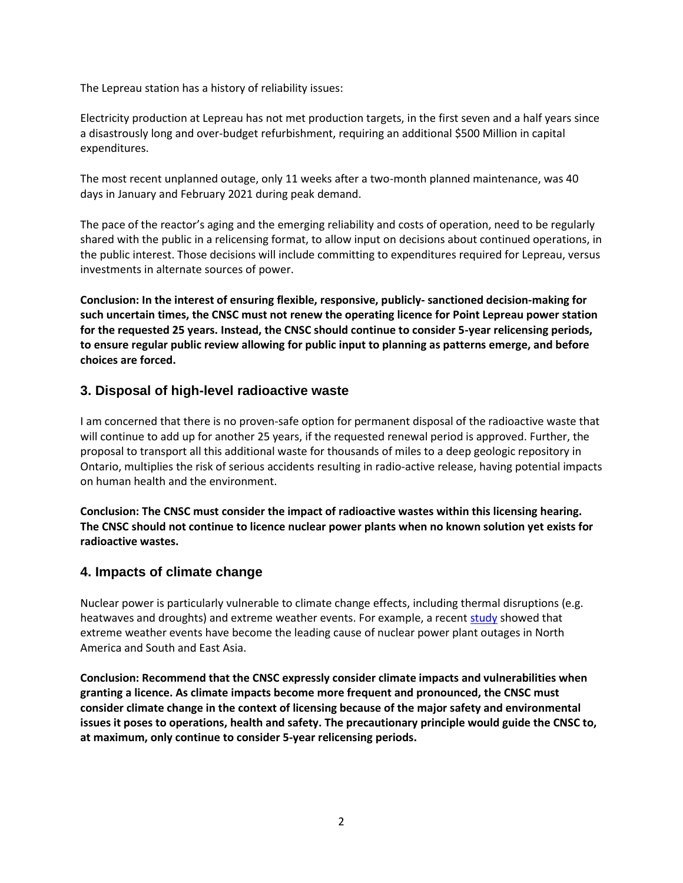The Lepreau station has a history of reliability issues:

Electricity production at Lepreau has not met production targets, in the first seven and a half years since a disastrously long and over-budget refurbishment, requiring an additional \$500 Million in capital expenditures.

The most recent unplanned outage, only 11 weeks after a two-month planned maintenance, was 40 days in January and February 2021 during peak demand.

The pace of the reactor's aging and the emerging reliability and costs of operation, need to be regularly shared with the public in a relicensing format, to allow input on decisions about continued operations, in the public interest. Those decisions will include committing to expenditures required for Lepreau, versus investments in alternate sources of power.

**Conclusion: In the interest of ensuring flexible, responsive, publicly- sanctioned decision-making for such uncertain times, the CNSC must not renew the operating licence for Point Lepreau power station for the requested 25 years. Instead, the CNSC should continue to consider 5-year relicensing periods, to ensure regular public review allowing for public input to planning as patterns emerge, and before choices are forced.**

### **3. Disposal of high-level radioactive waste**

I am concerned that there is no proven-safe option for permanent disposal of the radioactive waste that will continue to add up for another 25 years, if the requested renewal period is approved. Further, the proposal to transport all this additional waste for thousands of miles to a deep geologic repository in Ontario, multiplies the risk of serious accidents resulting in radio-active release, having potential impacts on human health and the environment.

**Conclusion: The CNSC must consider the impact of radioactive wastes within this licensing hearing. The CNSC should not continue to licence nuclear power plants when no known solution yet exists for radioactive wastes.** 

#### **4. Impacts of climate change**

Nuclear power is particularly vulnerable to climate change effects, including thermal disruptions (e.g. heatwaves and droughts) and extreme weather events. For example, a recen[t study](https://www.nature.com/articles/s41560-021-00849-y) showed that extreme weather events have become the leading cause of nuclear power plant outages in North America and South and East Asia.

**Conclusion: Recommend that the CNSC expressly consider climate impacts and vulnerabilities when granting a licence. As climate impacts become more frequent and pronounced, the CNSC must consider climate change in the context of licensing because of the major safety and environmental issues it poses to operations, health and safety. The precautionary principle would guide the CNSC to, at maximum, only continue to consider 5-year relicensing periods.**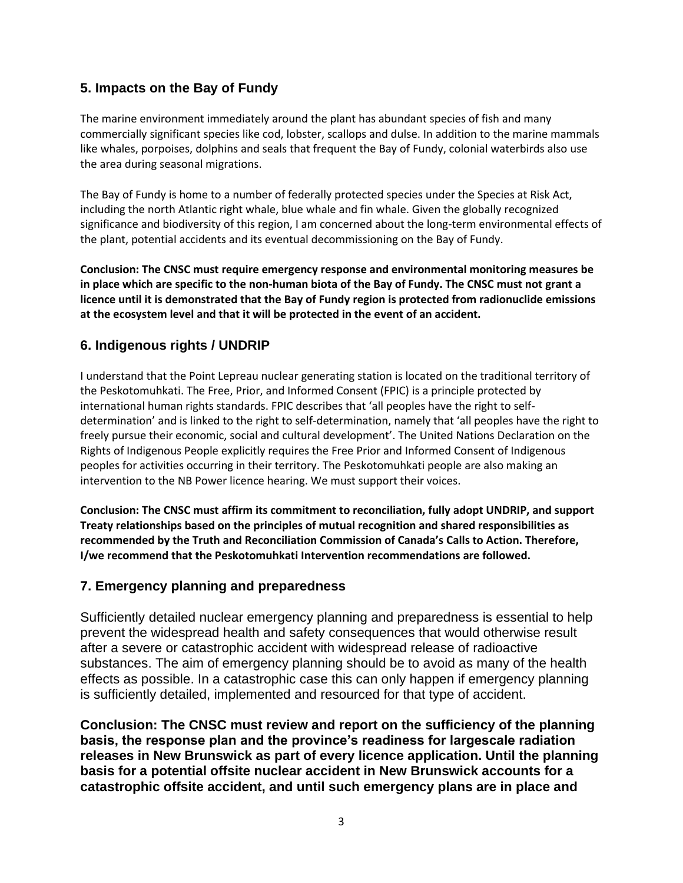## **5. Impacts on the Bay of Fundy**

The marine environment immediately around the plant has abundant species of fish and many commercially significant species like cod, lobster, scallops and dulse. In addition to the marine mammals like whales, porpoises, dolphins and seals that frequent the Bay of Fundy, colonial waterbirds also use the area during seasonal migrations.

The Bay of Fundy is home to a number of federally protected species under the Species at Risk Act, including the north Atlantic right whale, blue whale and fin whale. Given the globally recognized significance and biodiversity of this region, I am concerned about the long-term environmental effects of the plant, potential accidents and its eventual decommissioning on the Bay of Fundy.

**Conclusion: The CNSC must require emergency response and environmental monitoring measures be in place which are specific to the non-human biota of the Bay of Fundy. The CNSC must not grant a licence until it is demonstrated that the Bay of Fundy region is protected from radionuclide emissions at the ecosystem level and that it will be protected in the event of an accident.**

### **6. Indigenous rights / UNDRIP**

I understand that the Point Lepreau nuclear generating station is located on the traditional territory of the Peskotomuhkati. The Free, Prior, and Informed Consent (FPIC) is a principle protected by international human rights standards. FPIC describes that 'all peoples have the right to selfdetermination' and is linked to the right to self-determination, namely that 'all peoples have the right to freely pursue their economic, social and cultural development'. The United Nations Declaration on the Rights of Indigenous People explicitly requires the Free Prior and Informed Consent of Indigenous peoples for activities occurring in their territory. The Peskotomuhkati people are also making an intervention to the NB Power licence hearing. We must support their voices.

**Conclusion: The CNSC must affirm its commitment to reconciliation, fully adopt UNDRIP, and support Treaty relationships based on the principles of mutual recognition and shared responsibilities as recommended by the Truth and Reconciliation Commission of Canada's Calls to Action. Therefore, I/we recommend that the Peskotomuhkati Intervention recommendations are followed.**

### **7. Emergency planning and preparedness**

Sufficiently detailed nuclear emergency planning and preparedness is essential to help prevent the widespread health and safety consequences that would otherwise result after a severe or catastrophic accident with widespread release of radioactive substances. The aim of emergency planning should be to avoid as many of the health effects as possible. In a catastrophic case this can only happen if emergency planning is sufficiently detailed, implemented and resourced for that type of accident.

**Conclusion: The CNSC must review and report on the sufficiency of the planning basis, the response plan and the province's readiness for largescale radiation releases in New Brunswick as part of every licence application. Until the planning basis for a potential offsite nuclear accident in New Brunswick accounts for a catastrophic offsite accident, and until such emergency plans are in place and**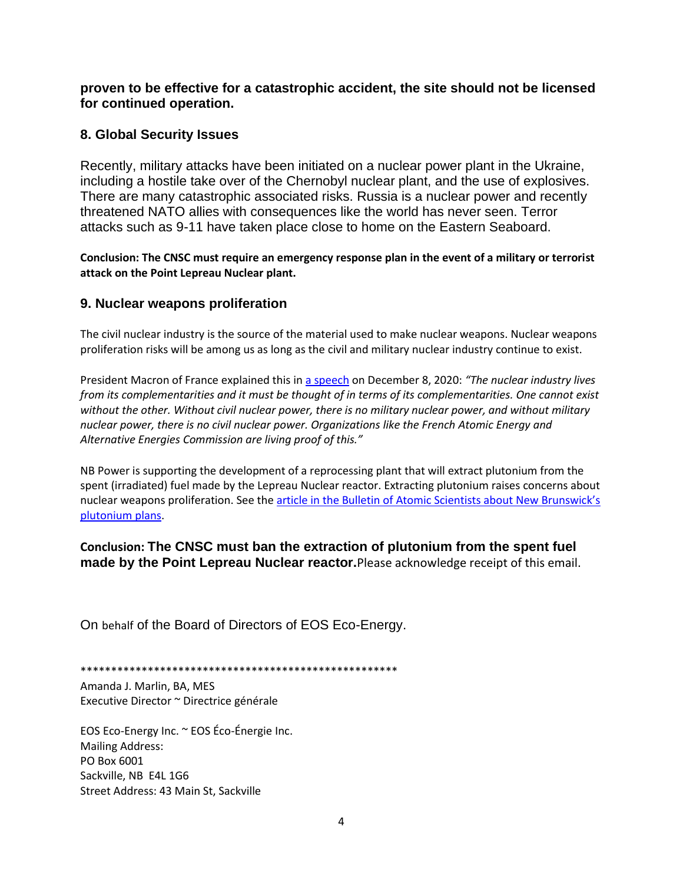**proven to be effective for a catastrophic accident, the site should not be licensed for continued operation.**

### **8. Global Security Issues**

Recently, military attacks have been initiated on a nuclear power plant in the Ukraine, including a hostile take over of the Chernobyl nuclear plant, and the use of explosives. There are many catastrophic associated risks. Russia is a nuclear power and recently threatened NATO allies with consequences like the world has never seen. Terror attacks such as 9-11 have taken place close to home on the Eastern Seaboard.

**Conclusion: The CNSC must require an emergency response plan in the event of a military or terrorist attack on the Point Lepreau Nuclear plant.** 

#### **9. Nuclear weapons proliferation**

The civil nuclear industry is the source of the material used to make nuclear weapons. Nuclear weapons proliferation risks will be among us as long as the civil and military nuclear industry continue to exist.

President Macron of France explained this in [a speech](https://www.elysee.fr/front/pdf/elysee-module-16825-fr.pdf) on December 8, 2020: *"The nuclear industry lives from its complementarities and it must be thought of in terms of its complementarities. One cannot exist without the other. Without civil nuclear power, there is no military nuclear power, and without military nuclear power, there is no civil nuclear power. Organizations like the French Atomic Energy and Alternative Energies Commission are living proof of this."*

NB Power is supporting the development of a reprocessing plant that will extract plutonium from the spent (irradiated) fuel made by the Lepreau Nuclear reactor. Extracting plutonium raises concerns about nuclear weapons proliferation. See the article in the Bulletin of Atomic Scientists about New Brunswick's [plutonium](https://thebulletin.org/2021/07/will-canada-remain-a-credible-nonproliferation-partner/) plans.

**Conclusion: The CNSC must ban the extraction of plutonium from the spent fuel made by the Point Lepreau Nuclear reactor.**Please acknowledge receipt of this email.

On behalf of the Board of Directors of EOS Eco-Energy.

\*\*\*\*\*\*\*\*\*\*\*\*\*\*\*\*\*\*\*\*\*\*\*\*\*\*\*\*\*\*\*\*\*\*\*\*\*\*\*\*\*\*\*\*\*\*\*\*\*\*\*\*

Amanda J. Marlin, BA, MES Executive Director ~ Directrice générale

EOS Eco-Energy Inc. ~ EOS Éco-Énergie Inc. Mailing Address: PO Box 6001 Sackville, NB E4L 1G6 Street Address: 43 Main St, Sackville